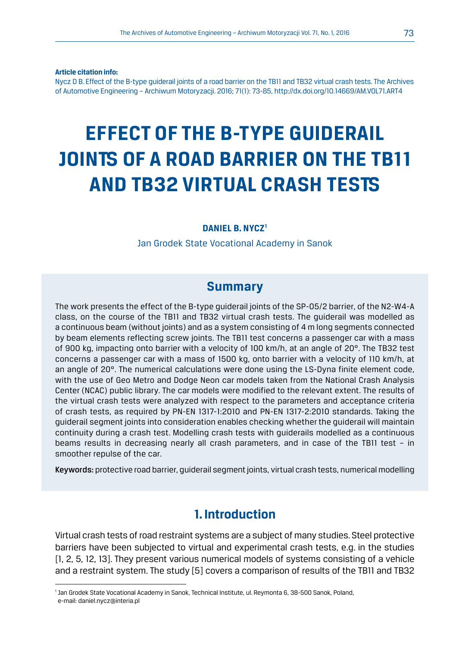**Article citation info:**

Nycz D B. Effect of the B-type guiderail joints of a road barrier on the TB11 and TB32 virtual crash tests. The Archives of Automotive Engineering – Archiwum Motoryzacji. 2016; 71(1): 73-85, http://dx.doi.org/10.14669/AM.VOL71.ART4

# **EFFECT OF THE B-TYPE GUIDERAIL JOINTS OF A ROAD BARRIER ON THE TB11 AND TB32 VIRTUAL CRASH TESTS**

#### **DANIEL B. NYCZ1**

Jan Grodek State Vocational Academy in Sanok

#### **Summary**

The work presents the effect of the B-type guiderail joints of the SP-05/2 barrier, of the N2-W4-A class, on the course of the TB11 and TB32 virtual crash tests. The guiderail was modelled as a continuous beam (without joints) and as a system consisting of 4 m long segments connected by beam elements reflecting screw joints. The TB11 test concerns a passenger car with a mass of 900 kg, impacting onto barrier with a velocity of 100 km/h, at an angle of 20°. The TB32 test concerns a passenger car with a mass of 1500 kg, onto barrier with a velocity of 110 km/h, at an angle of 20°. The numerical calculations were done using the LS-Dyna finite element code, with the use of Geo Metro and Dodge Neon car models taken from the National Crash Analysis Center (NCAC) public library. The car models were modified to the relevant extent. The results of the virtual crash tests were analyzed with respect to the parameters and acceptance criteria of crash tests, as required by PN-EN 1317-1:2010 and PN-EN 1317-2:2010 standards. Taking the guiderail segment joints into consideration enables checking whether the guiderail will maintain continuity during a crash test. Modelling crash tests with guiderails modelled as a continuous beams results in decreasing nearly all crash parameters, and in case of the TB11 test – in smoother repulse of the car.

Keywords: protective road barrier, guiderail segment joints, virtual crash tests, numerical modelling

#### **1. Introduction**

Virtual crash tests of road restraint systems are a subject of many studies. Steel protective barriers have been subjected to virtual and experimental crash tests, e.g. in the studies [1, 2, 5, 12, 13]. They present various numerical models of systems consisting of a vehicle and a restraint system. The study [5] covers a comparison of results of the TB11 and TB32

<sup>1</sup> Jan Grodek State Vocational Academy in Sanok, Technical Institute, ul. Reymonta 6, 38-500 Sanok, Poland, e-mail: daniel.nycz@interia.pl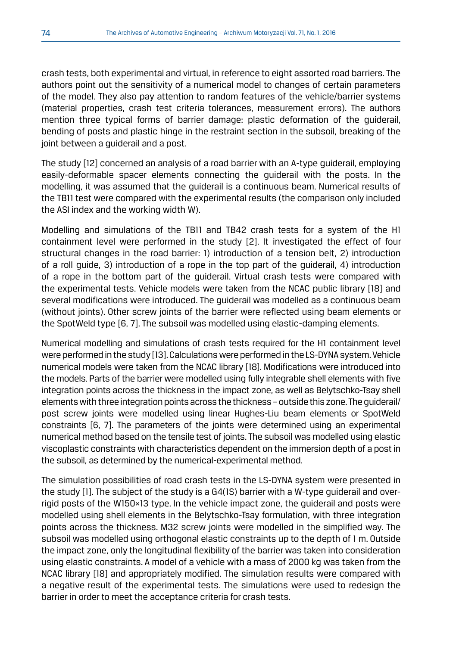crash tests, both experimental and virtual, in reference to eight assorted road barriers. The authors point out the sensitivity of a numerical model to changes of certain parameters of the model. They also pay attention to random features of the vehicle/barrier systems (material properties, crash test criteria tolerances, measurement errors). The authors mention three typical forms of barrier damage: plastic deformation of the guiderail, bending of posts and plastic hinge in the restraint section in the subsoil, breaking of the joint between a guiderail and a post.

The study [12] concerned an analysis of a road barrier with an A-type guiderail, employing easily-deformable spacer elements connecting the guiderail with the posts. In the modelling, it was assumed that the guiderail is a continuous beam. Numerical results of the TB11 test were compared with the experimental results (the comparison only included the ASI index and the working width W).

Modelling and simulations of the TB11 and TB42 crash tests for a system of the H1 containment level were performed in the study [2]. It investigated the effect of four structural changes in the road barrier: 1) introduction of a tension belt, 2) introduction of a roll guide, 3) introduction of a rope in the top part of the guiderail, 4) introduction of a rope in the bottom part of the guiderail. Virtual crash tests were compared with the experimental tests. Vehicle models were taken from the NCAC public library [18] and several modifications were introduced. The guiderail was modelled as a continuous beam (without joints). Other screw joints of the barrier were reflected using beam elements or the SpotWeld type [6, 7]. The subsoil was modelled using elastic-damping elements.

Numerical modelling and simulations of crash tests required for the H1 containment level were performed in the study [13]. Calculations were performed in the LS-DYNA system. Vehicle numerical models were taken from the NCAC library [18]. Modifications were introduced into the models. Parts of the barrier were modelled using fully integrable shell elements with five integration points across the thickness in the impact zone, as well as Belytschko-Tsay shell elements with three integration points across the thickness – outside this zone. The guiderail/ post screw joints were modelled using linear Hughes-Liu beam elements or SpotWeld constraints [6, 7]. The parameters of the joints were determined using an experimental numerical method based on the tensile test of joints. The subsoil was modelled using elastic viscoplastic constraints with characteristics dependent on the immersion depth of a post in the subsoil, as determined by the numerical-experimental method.

The simulation possibilities of road crash tests in the LS-DYNA system were presented in the study [1]. The subject of the study is a G4(1S) barrier with a W-type guiderail and overrigid posts of the W150×13 type. In the vehicle impact zone, the guiderail and posts were modelled using shell elements in the Belytschko-Tsay formulation, with three integration points across the thickness. M32 screw joints were modelled in the simplified way. The subsoil was modelled using orthogonal elastic constraints up to the depth of 1 m. Outside the impact zone, only the longitudinal flexibility of the barrier was taken into consideration using elastic constraints. A model of a vehicle with a mass of 2000 kg was taken from the NCAC library [18] and appropriately modified. The simulation results were compared with a negative result of the experimental tests. The simulations were used to redesign the barrier in order to meet the acceptance criteria for crash tests.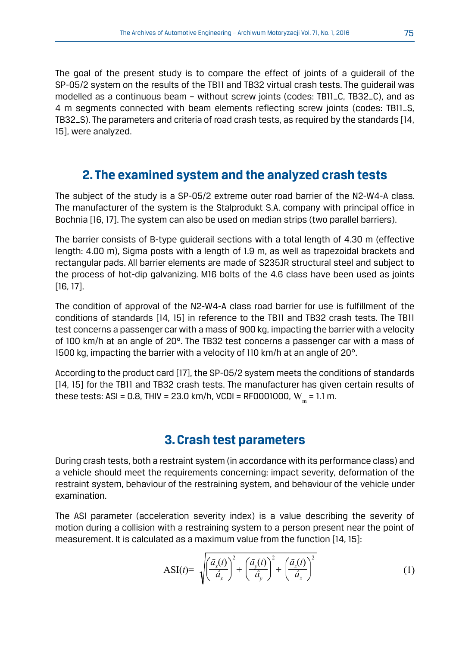The goal of the present study is to compare the effect of joints of a guiderail of the SP-05/2 system on the results of the TB11 and TB32 virtual crash tests. The guiderail was modelled as a continuous beam – without screw joints (codes: TB11\_C, TB32\_C), and as 4 m segments connected with beam elements reflecting screw joints (codes: TB11\_S, TB32\_S). The parameters and criteria of road crash tests, as required by the standards [14, 15], were analyzed.

# **2. The examined system and the analyzed crash tests**

The subject of the study is a SP-05/2 extreme outer road barrier of the N2-W4-A class. The manufacturer of the system is the Stalprodukt S.A. company with principal office in Bochnia [16, 17]. The system can also be used on median strips (two parallel barriers).

The barrier consists of B-type guiderail sections with a total length of 4.30 m (effective length: 4.00 m), Sigma posts with a length of 1.9 m, as well as trapezoidal brackets and rectangular pads. All barrier elements are made of S235JR structural steel and subject to the process of hot-dip galvanizing. M16 bolts of the 4.6 class have been used as joints [16, 17].

The condition of approval of the N2-W4-A class road barrier for use is fulfillment of the conditions of standards [14, 15] in reference to the TB11 and TB32 crash tests. The TB11 test concerns a passenger car with a mass of 900 kg, impacting the barrier with a velocity of 100 km/h at an angle of 20°. The TB32 test concerns a passenger car with a mass of 1500 kg, impacting the barrier with a velocity of 110 km/h at an angle of 20°.

According to the product card [17], the SP-05/2 system meets the conditions of standards [14, 15] for the TB11 and TB32 crash tests. The manufacturer has given certain results of these tests: ASI = 0.8, THIV = 23.0 km/h, VCDI = RF0001000,  $W_m = 1.1$  m.

# **3. Crash test parameters**

During crash tests, both a restraint system (in accordance with its performance class) and a vehicle should meet the requirements concerning: impact severity, deformation of the restraint system, behaviour of the restraining system, and behaviour of the vehicle under examination.

The ASI parameter (acceleration severity index) is a value describing the severity of motion during a collision with a restraining system to a person present near the point of measurement. It is calculated as a maximum value from the function [14, 15]:

$$
\text{ASI}(t) = \sqrt{\left(\frac{\bar{a}_x(t)}{\hat{a}_x}\right)^2 + \left(\frac{\bar{a}_y(t)}{\hat{a}_y}\right)^2 + \left(\frac{\bar{a}_z(t)}{\hat{a}_z}\right)^2} \tag{1}
$$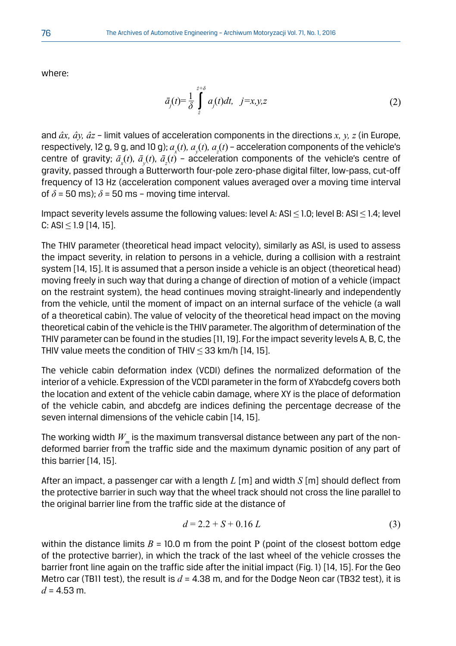where:

$$
\bar{a}_j(t) = \frac{1}{\delta} \int_{z}^{z+\delta} a_j(t)dt, \quad j=x, y, z \tag{2}
$$

and *âx, ây, âz* – limit values of acceleration components in the directions *x, y, z* (in Europe, respectively, 12 g, 9 g, and 10 g);  $a_{\rm x}(t)$ ,  $a_{\rm y}(t)$ ,  $a_{\rm z}(t)$  – acceleration components of the vehicle's centre of gravity;  $\bar{a}_x(t)$ ,  $\bar{a}_y(t)$ ,  $\bar{a}_z(t)$  – acceleration components of the vehicle's centre of gravity, passed through a Butterworth four-pole zero-phase digital filter, low-pass, cut-off frequency of 13 Hz (acceleration component values averaged over a moving time interval of  $\delta$  = 50 ms);  $\delta$  = 50 ms – moving time interval.

Impact severity levels assume the following values: level A: ASI ≤ 1.0; level B: ASI ≤ 1.4; level  $C: ASI \leq 1.9$  [14, 15].

The THIV parameter (theoretical head impact velocity), similarly as ASI, is used to assess the impact severity, in relation to persons in a vehicle, during a collision with a restraint system [14, 15]. It is assumed that a person inside a vehicle is an object (theoretical head) moving freely in such way that during a change of direction of motion of a vehicle (impact on the restraint system), the head continues moving straight-linearly and independently from the vehicle, until the moment of impact on an internal surface of the vehicle (a wall of a theoretical cabin). The value of velocity of the theoretical head impact on the moving theoretical cabin of the vehicle is the THIV parameter. The algorithm of determination of the THIV parameter can be found in the studies [11, 19]. For the impact severity levels A, B, C, the THIV value meets the condition of THIV  $\leq$  33 km/h [14, 15].

The vehicle cabin deformation index (VCDI) defines the normalized deformation of the interior of a vehicle. Expression of the VCDI parameter in the form of XYabcdefg covers both the location and extent of the vehicle cabin damage, where XY is the place of deformation of the vehicle cabin, and abcdefg are indices defining the percentage decrease of the seven internal dimensions of the vehicle cabin [14, 15].

The working width  $W_{m}$  is the maximum transversal distance between any part of the nondeformed barrier from the traffic side and the maximum dynamic position of any part of this barrier [14, 15].

After an impact, a passenger car with a length *L* [m] and width *S* [m] should deflect from the protective barrier in such way that the wheel track should not cross the line parallel to the original barrier line from the traffic side at the distance of

$$
d = 2.2 + S + 0.16 L \tag{3}
$$

within the distance limits  $B = 10.0$  m from the point P (point of the closest bottom edge of the protective barrier), in which the track of the last wheel of the vehicle crosses the barrier front line again on the traffic side after the initial impact (Fig. 1) [14, 15]. For the Geo Metro car (TB11 test), the result is  $d = 4.38$  m, and for the Dodge Neon car (TB32 test), it is  $d = 4.53$  m.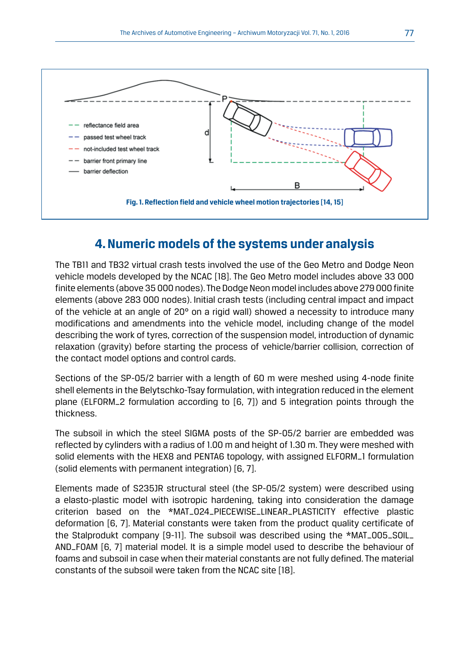

# **4. Numeric models of the systems under analysis**

The TB11 and TB32 virtual crash tests involved the use of the Geo Metro and Dodge Neon vehicle models developed by the NCAC [18]. The Geo Metro model includes above 33 000 finite elements (above 35 000 nodes). The Dodge Neon model includes above 279 000 finite elements (above 283 000 nodes). Initial crash tests (including central impact and impact of the vehicle at an angle of  $20^{\circ}$  on a rigid wall) showed a necessity to introduce many modifications and amendments into the vehicle model, including change of the model describing the work of tyres, correction of the suspension model, introduction of dynamic relaxation (gravity) before starting the process of vehicle/barrier collision, correction of the contact model options and control cards.

Sections of the SP-05/2 barrier with a length of 60 m were meshed using 4-node finite shell elements in the Belytschko-Tsay formulation, with integration reduced in the element plane (ELFORM\_2 formulation according to [6, 7]) and 5 integration points through the thickness.

The subsoil in which the steel SIGMA posts of the SP-05/2 barrier are embedded was reflected by cylinders with a radius of 1.00 m and height of 1.30 m. They were meshed with solid elements with the HEX8 and PENTA6 topology, with assigned ELFORM\_1 formulation (solid elements with permanent integration) [6, 7].

Elements made of S235JR structural steel (the SP-05/2 system) were described using a elasto-plastic model with isotropic hardening, taking into consideration the damage criterion based on the \*MAT\_024\_PIECEWISE\_LINEAR\_PLASTICITY effective plastic deformation [6, 7]. Material constants were taken from the product quality certificate of the Stalprodukt company [9-11]. The subsoil was described using the \*MAT\_005\_SOIL\_ AND\_FOAM [6, 7] material model. It is a simple model used to describe the behaviour of foams and subsoil in case when their material constants are not fully defined. The material constants of the subsoil were taken from the NCAC site [18].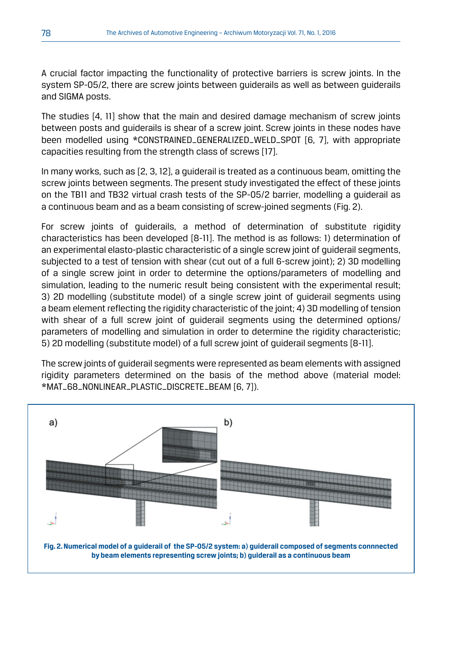A crucial factor impacting the functionality of protective barriers is screw joints. In the system SP-05/2, there are screw joints between guiderails as well as between guiderails and SIGMA posts.

The studies [4, 11] show that the main and desired damage mechanism of screw joints between posts and guiderails is shear of a screw joint. Screw joints in these nodes have been modelled using \*CONSTRAINED\_GENERALIZED\_WELD\_SPOT [6, 7], with appropriate capacities resulting from the strength class of screws [17].

In many works, such as [2, 3, 12], a guiderail is treated as a continuous beam, omitting the screw joints between segments. The present study investigated the effect of these joints on the TB11 and TB32 virtual crash tests of the SP-05/2 barrier, modelling a guiderail as a continuous beam and as a beam consisting of screw-joined segments (Fig. 2).

For screw joints of guiderails, a method of determination of substitute rigidity characteristics has been developed [8-11]. The method is as follows: 1) determination of an experimental elasto-plastic characteristic of a single screw joint of guiderail segments, subjected to a test of tension with shear (cut out of a full 6-screw joint); 2) 3D modelling of a single screw joint in order to determine the options/parameters of modelling and simulation, leading to the numeric result being consistent with the experimental result; 3) 2D modelling (substitute model) of a single screw joint of guiderail segments using a beam element reflecting the rigidity characteristic of the joint; 4) 3D modelling of tension with shear of a full screw joint of guiderail segments using the determined options/ parameters of modelling and simulation in order to determine the rigidity characteristic; 5) 2D modelling (substitute model) of a full screw joint of guiderail segments [8-11].

The screw ioints of quiderail segments were represented as beam elements with assigned rigidity parameters determined on the basis of the method above (material model: \*MAT\_68\_NONLINEAR\_PLASTIC\_DISCRETE\_BEAM [6, 7]).

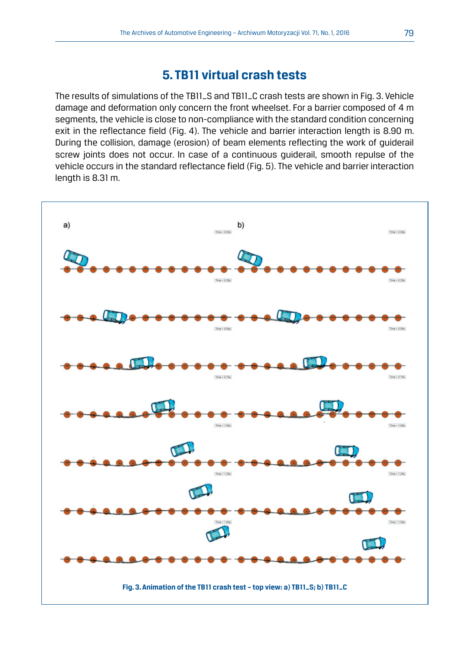#### **5. TB11 virtual crash tests**

The results of simulations of the TB11\_S and TB11\_C crash tests are shown in Fig. 3. Vehicle damage and deformation only concern the front wheelset. For a barrier composed of 4 m segments, the vehicle is close to non-compliance with the standard condition concerning exit in the reflectance field (Fig. 4). The vehicle and barrier interaction length is 8.90 m. During the collision, damage (erosion) of beam elements reflecting the work of guiderail screw joints does not occur. In case of a continuous guiderail, smooth repulse of the vehicle occurs in the standard reflectance field (Fig. 5). The vehicle and barrier interaction length is 8.31 m.

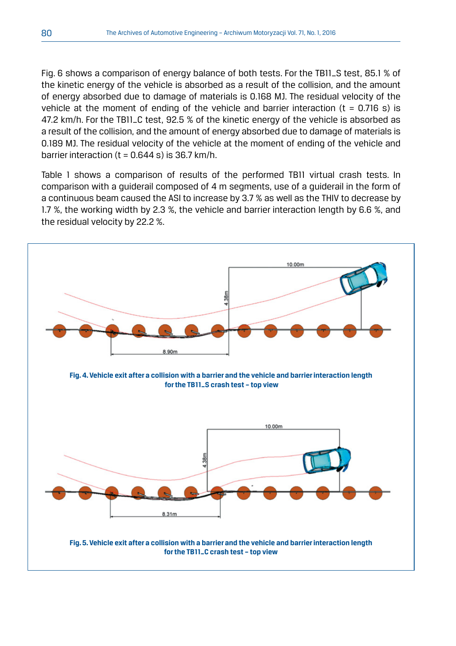Fig. 6 shows a comparison of energy balance of both tests. For the TB11\_S test, 85.1 % of the kinetic energy of the vehicle is absorbed as a result of the collision, and the amount of energy absorbed due to damage of materials is 0.168 MJ. The residual velocity of the vehicle at the moment of ending of the vehicle and barrier interaction ( $t = 0.716$  s) is 47.2 km/h. For the TB11\_C test, 92.5 % of the kinetic energy of the vehicle is absorbed as a result of the collision, and the amount of energy absorbed due to damage of materials is 0.189 MJ. The residual velocity of the vehicle at the moment of ending of the vehicle and barrier interaction  $(t = 0.644 s)$  is 36.7 km/h.

Table 1 shows a comparison of results of the performed TB11 virtual crash tests. In comparison with a guiderail composed of 4 m segments, use of a guiderail in the form of a continuous beam caused the ASI to increase by 3.7 % as well as the THIV to decrease by 1.7 %, the working width by 2.3 %, the vehicle and barrier interaction length by 6.6 %, and the residual velocity by 22.2 %.

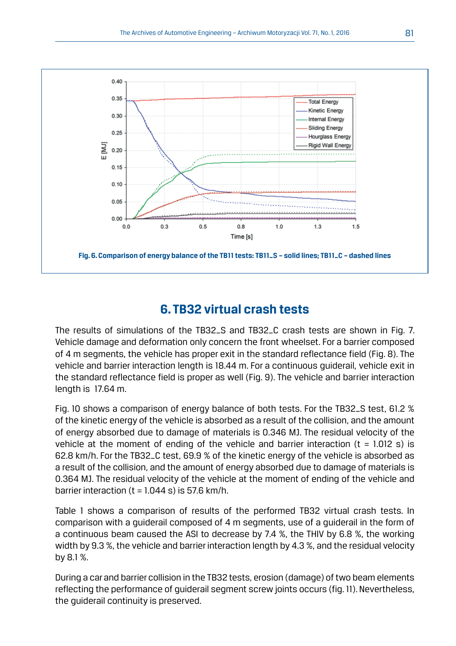

# **6. TB32 virtual crash tests**

The results of simulations of the TB32\_S and TB32\_C crash tests are shown in Fig. 7. Vehicle damage and deformation only concern the front wheelset. For a barrier composed of 4 m segments, the vehicle has proper exit in the standard reflectance field (Fig. 8). The vehicle and barrier interaction length is 18.44 m. For a continuous guiderail, vehicle exit in the standard reflectance field is proper as well (Fig. 9). The vehicle and barrier interaction length is 17.64 m.

Fig. 10 shows a comparison of energy balance of both tests. For the TB32\_S test, 61.2 % of the kinetic energy of the vehicle is absorbed as a result of the collision, and the amount of energy absorbed due to damage of materials is 0.346 MJ. The residual velocity of the vehicle at the moment of ending of the vehicle and barrier interaction ( $t = 1.012$  s) is 62.8 km/h. For the TB32\_C test, 69.9 % of the kinetic energy of the vehicle is absorbed as a result of the collision, and the amount of energy absorbed due to damage of materials is 0.364 MJ. The residual velocity of the vehicle at the moment of ending of the vehicle and barrier interaction  $(t = 1.044 s)$  is 57.6 km/h.

Table 1 shows a comparison of results of the performed TB32 virtual crash tests. In comparison with a guiderail composed of 4 m segments, use of a guiderail in the form of a continuous beam caused the ASI to decrease by 7.4 %, the THIV by 6.8 %, the working width by 9.3 %, the vehicle and barrier interaction length by 4.3 %, and the residual velocity by 8.1 %.

During a car and barrier collision in the TB32 tests, erosion (damage) of two beam elements reflecting the performance of guiderail segment screw joints occurs (fig. 11). Nevertheless, the guiderail continuity is preserved.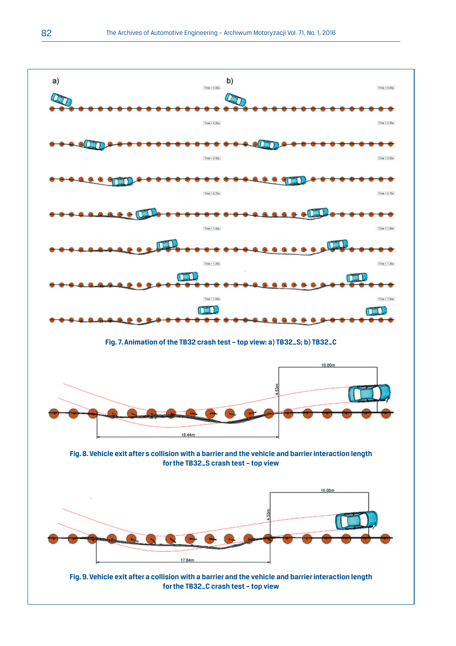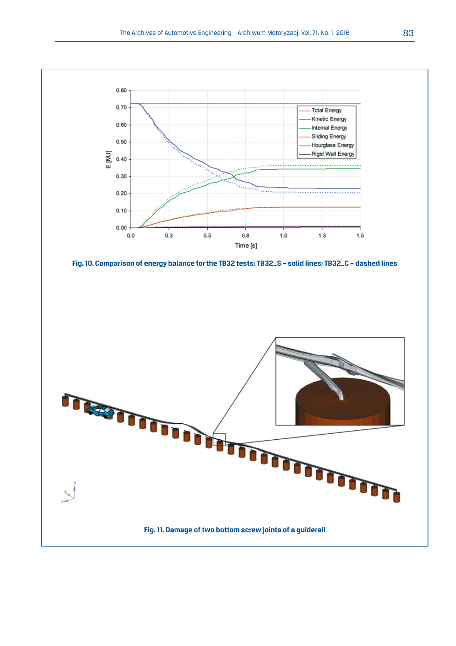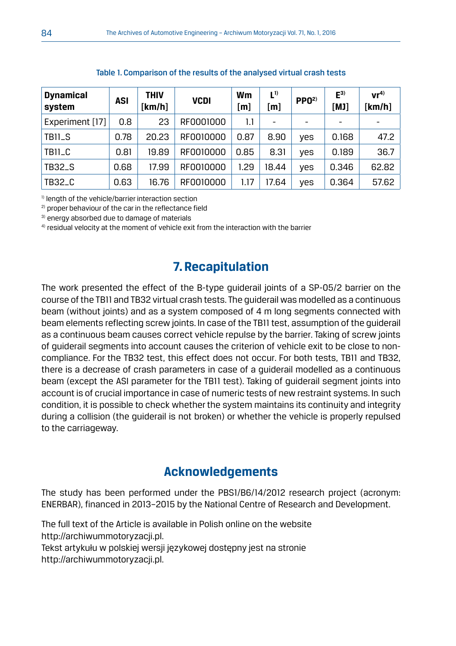| <b>Dynamical</b><br>system | ASI  | THIV<br>[km/h] | <b>VCDI</b> | Wm<br>[m] | $L^{1)}$<br>[m]          | PPO <sup>2</sup>         | E <sub>3)</sub><br>[MJ]  | vr <sup>4</sup><br>[ $km/h$ ] |
|----------------------------|------|----------------|-------------|-----------|--------------------------|--------------------------|--------------------------|-------------------------------|
| Experiment [17]            | 0.8  | 23             | RF0001000   | 1.1       | $\overline{\phantom{0}}$ | $\overline{\phantom{0}}$ | $\overline{\phantom{a}}$ |                               |
| <b>TB11_S</b>              | 0.78 | 20.23          | RF0010000   | 0.87      | 8.90                     | yes                      | 0.168                    | 47.2                          |
| <b>TB11_C</b>              | 0.81 | 19.89          | RF0010000   | 0.85      | 8.31                     | yes                      | 0.189                    | 36.7                          |
| <b>TB32_S</b>              | 0.68 | 17.99          | RF0010000   | 1.29      | 18.44                    | yes                      | 0.346                    | 62.82                         |
| <b>TB32_C</b>              | 0.63 | 16.76          | RF0010000   | 1.17      | 17.64                    | yes                      | 0.364                    | 57.62                         |

Table 1. Comparison of the results of the analysed virtual crash tests

1) length of the vehicle/barrier interaction section

<sup>2)</sup> proper behaviour of the car in the reflectance field

3) energy absorbed due to damage of materials

 $4$ ) residual velocity at the moment of vehicle exit from the interaction with the barrier

# **7. Recapitulation**

The work presented the effect of the B-type guiderail joints of a SP-05/2 barrier on the course of the TB11 and TB32 virtual crash tests. The guiderail was modelled as a continuous beam (without joints) and as a system composed of 4 m long segments connected with beam elements reflecting screw joints. In case of the TB11 test, assumption of the guiderail as a continuous beam causes correct vehicle repulse by the barrier. Taking of screw joints of guiderail segments into account causes the criterion of vehicle exit to be close to noncompliance. For the TB32 test, this effect does not occur. For both tests, TB11 and TB32, there is a decrease of crash parameters in case of a guiderail modelled as a continuous beam (except the ASI parameter for the TB11 test). Taking of guiderail segment joints into account is of crucial importance in case of numeric tests of new restraint systems. In such condition, it is possible to check whether the system maintains its continuity and integrity during a collision (the guiderail is not broken) or whether the vehicle is properly repulsed to the carriageway.

# **Acknowledgements**

The study has been performed under the PBS1/B6/14/2012 research project (acronym: ENERBAR), financed in 2013–2015 by the National Centre of Research and Development.

The full text of the Article is available in Polish online on the website http://archiwummotoryzacji.pl. Tekst artykułu w polskiej wersji językowej dostępny jest na stronie http://archiwummotoryzacji.pl.